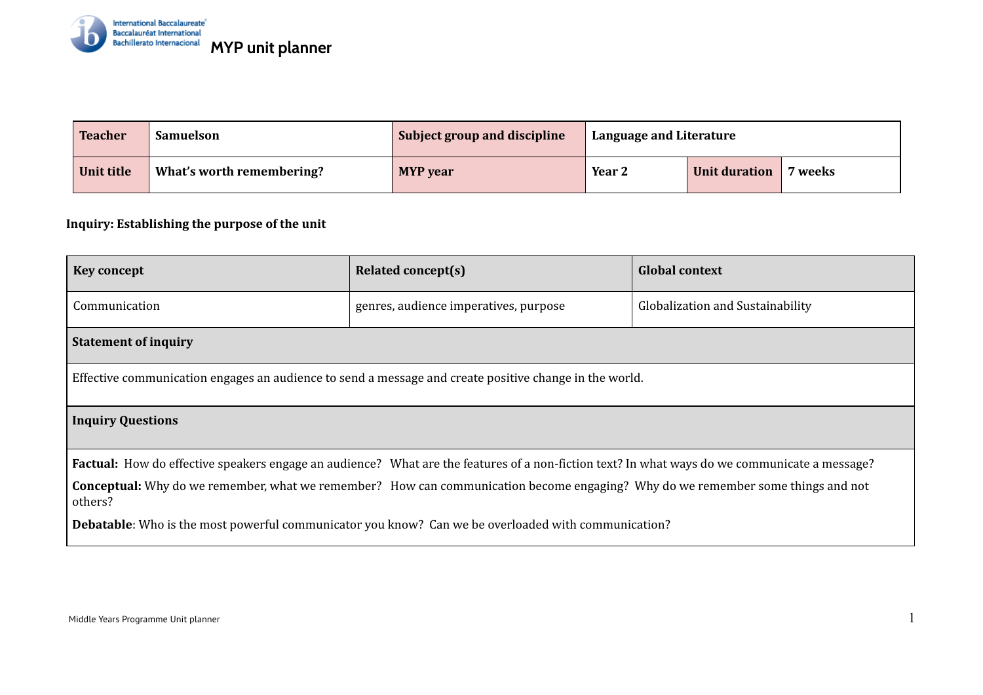

| <b>Teacher</b> | <b>Samuelson</b>          | Subject group and discipline | <sup>1</sup> Language and Literature |               |         |
|----------------|---------------------------|------------------------------|--------------------------------------|---------------|---------|
| Unit title     | What's worth remembering? | <b>MYP</b> year              | Year 2                               | Unit duration | 7 weeks |

## **Inquiry: Establishing the purpose of the unit**

| <b>Key concept</b>                                                                                                                            | <b>Related concept(s)</b>             | <b>Global context</b>            |  |
|-----------------------------------------------------------------------------------------------------------------------------------------------|---------------------------------------|----------------------------------|--|
| Communication                                                                                                                                 | genres, audience imperatives, purpose | Globalization and Sustainability |  |
| <b>Statement of inquiry</b>                                                                                                                   |                                       |                                  |  |
| Effective communication engages an audience to send a message and create positive change in the world.                                        |                                       |                                  |  |
| <b>Inquiry Questions</b>                                                                                                                      |                                       |                                  |  |
| Factual: How do effective speakers engage an audience? What are the features of a non-fiction text? In what ways do we communicate a message? |                                       |                                  |  |
| Conceptual: Why do we remember, what we remember? How can communication become engaging? Why do we remember some things and not<br>others?    |                                       |                                  |  |
| <b>Debatable:</b> Who is the most powerful communicator you know? Can we be overloaded with communication?                                    |                                       |                                  |  |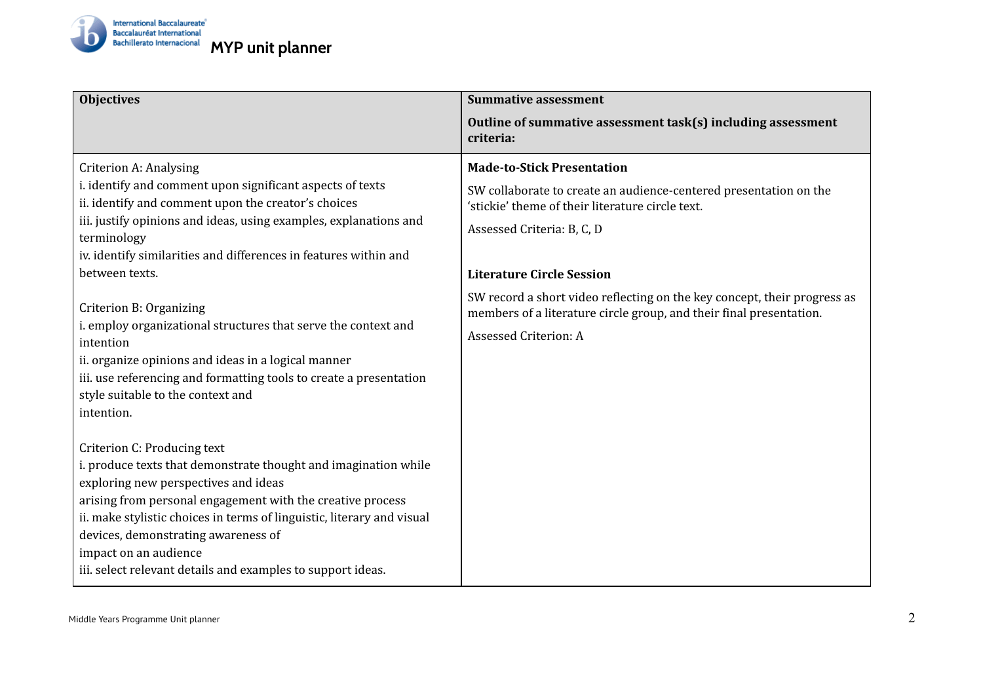

| <b>Objectives</b>                                                                                                                                                                                                                                                                                                                                                                                                                                                                                                                                                                                                     | <b>Summative assessment</b>                                                                                                                                                                                                                                                                                                                                                                              |
|-----------------------------------------------------------------------------------------------------------------------------------------------------------------------------------------------------------------------------------------------------------------------------------------------------------------------------------------------------------------------------------------------------------------------------------------------------------------------------------------------------------------------------------------------------------------------------------------------------------------------|----------------------------------------------------------------------------------------------------------------------------------------------------------------------------------------------------------------------------------------------------------------------------------------------------------------------------------------------------------------------------------------------------------|
|                                                                                                                                                                                                                                                                                                                                                                                                                                                                                                                                                                                                                       | Outline of summative assessment task(s) including assessment<br>criteria:                                                                                                                                                                                                                                                                                                                                |
| <b>Criterion A: Analysing</b><br>i. identify and comment upon significant aspects of texts<br>ii. identify and comment upon the creator's choices<br>iii. justify opinions and ideas, using examples, explanations and<br>terminology<br>iv. identify similarities and differences in features within and<br>between texts.<br>Criterion B: Organizing<br>i. employ organizational structures that serve the context and<br>intention<br>ii. organize opinions and ideas in a logical manner<br>iii. use referencing and formatting tools to create a presentation<br>style suitable to the context and<br>intention. | <b>Made-to-Stick Presentation</b><br>SW collaborate to create an audience-centered presentation on the<br>'stickie' theme of their literature circle text.<br>Assessed Criteria: B, C, D<br><b>Literature Circle Session</b><br>SW record a short video reflecting on the key concept, their progress as<br>members of a literature circle group, and their final presentation.<br>Assessed Criterion: A |
| Criterion C: Producing text<br>i. produce texts that demonstrate thought and imagination while<br>exploring new perspectives and ideas<br>arising from personal engagement with the creative process<br>ii. make stylistic choices in terms of linguistic, literary and visual<br>devices, demonstrating awareness of<br>impact on an audience<br>iii. select relevant details and examples to support ideas.                                                                                                                                                                                                         |                                                                                                                                                                                                                                                                                                                                                                                                          |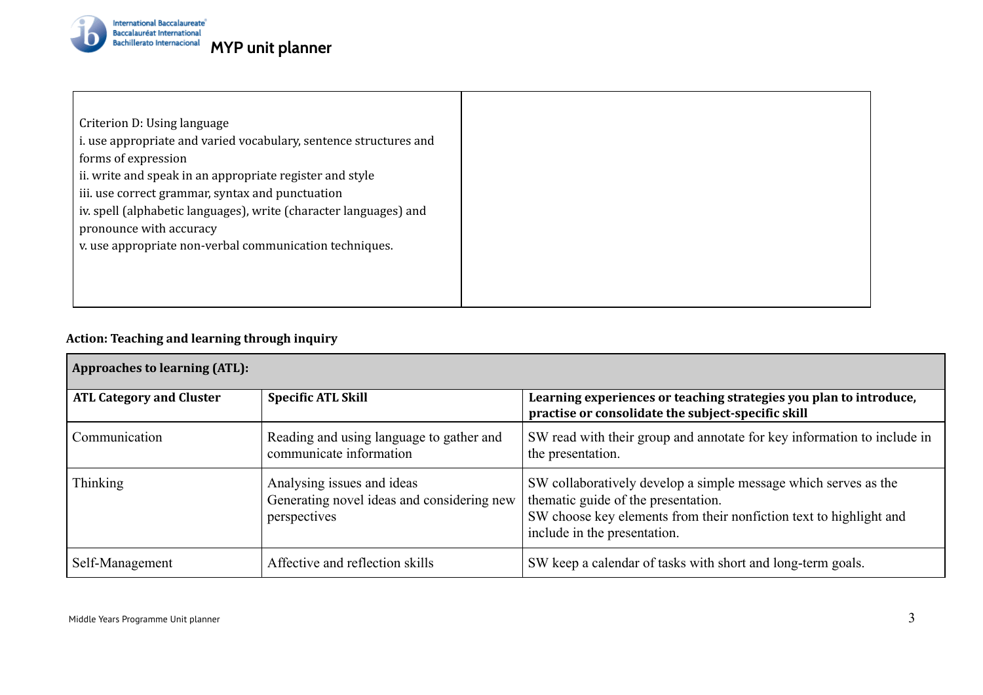

Criterion D: Using language i. use appropriate and varied vocabulary, sentence structures and forms of expression ii. write and speak in an appropriate register and style iii. use correct grammar, syntax and punctuation iv. spell (alphabetic languages), write (character languages) and pronounce with accuracy v. use appropriate non-verbal communication techniques.

## **Action: Teaching and learning through inquiry**

| <b>Approaches to learning (ATL):</b> |                                                                                          |                                                                                                                                                                                                              |  |
|--------------------------------------|------------------------------------------------------------------------------------------|--------------------------------------------------------------------------------------------------------------------------------------------------------------------------------------------------------------|--|
| <b>ATL Category and Cluster</b>      | <b>Specific ATL Skill</b>                                                                | Learning experiences or teaching strategies you plan to introduce,<br>practise or consolidate the subject-specific skill                                                                                     |  |
| Communication                        | Reading and using language to gather and<br>communicate information                      | SW read with their group and annotate for key information to include in<br>the presentation.                                                                                                                 |  |
| <b>Thinking</b>                      | Analysing issues and ideas<br>Generating novel ideas and considering new<br>perspectives | SW collaboratively develop a simple message which serves as the<br>thematic guide of the presentation.<br>SW choose key elements from their nonfiction text to highlight and<br>include in the presentation. |  |
| Self-Management                      | Affective and reflection skills                                                          | SW keep a calendar of tasks with short and long-term goals.                                                                                                                                                  |  |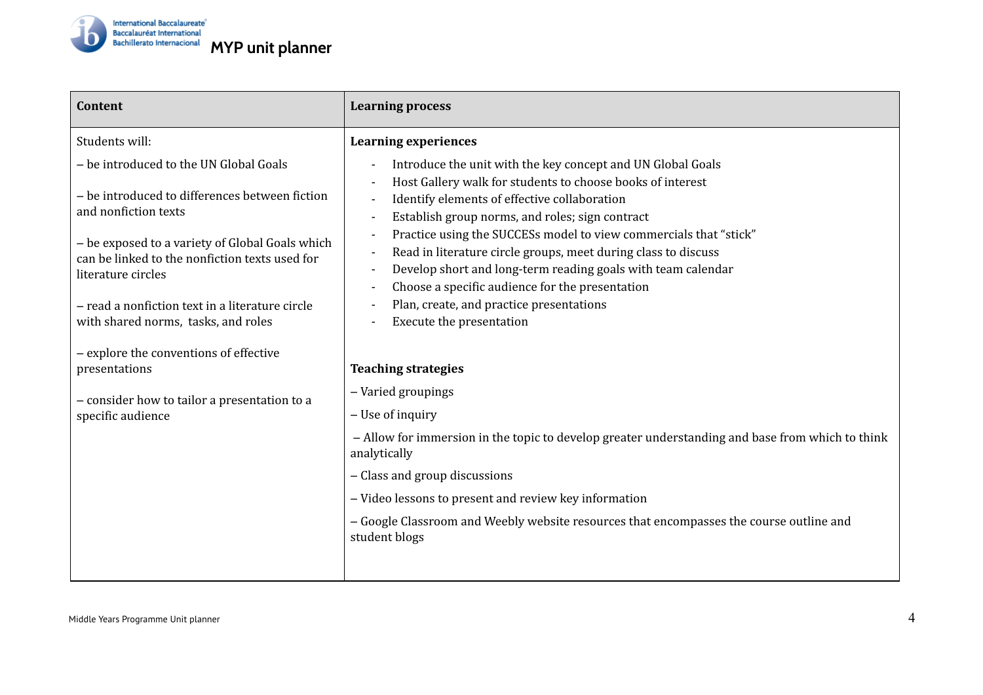

| <b>Content</b>                                                                                                                                                                                                                                                                                                                        | <b>Learning process</b>                                                                                                                                                                                                                                                                                                                                                                                                                                                                                                                                                                    |  |  |
|---------------------------------------------------------------------------------------------------------------------------------------------------------------------------------------------------------------------------------------------------------------------------------------------------------------------------------------|--------------------------------------------------------------------------------------------------------------------------------------------------------------------------------------------------------------------------------------------------------------------------------------------------------------------------------------------------------------------------------------------------------------------------------------------------------------------------------------------------------------------------------------------------------------------------------------------|--|--|
| Students will:                                                                                                                                                                                                                                                                                                                        | <b>Learning experiences</b>                                                                                                                                                                                                                                                                                                                                                                                                                                                                                                                                                                |  |  |
| - be introduced to the UN Global Goals<br>- be introduced to differences between fiction<br>and nonfiction texts<br>- be exposed to a variety of Global Goals which<br>can be linked to the nonfiction texts used for<br>literature circles<br>- read a nonfiction text in a literature circle<br>with shared norms, tasks, and roles | Introduce the unit with the key concept and UN Global Goals<br>$\overline{\phantom{a}}$<br>Host Gallery walk for students to choose books of interest<br>Identify elements of effective collaboration<br>Establish group norms, and roles; sign contract<br>Practice using the SUCCESs model to view commercials that "stick"<br>Read in literature circle groups, meet during class to discuss<br>Develop short and long-term reading goals with team calendar<br>Choose a specific audience for the presentation<br>Plan, create, and practice presentations<br>Execute the presentation |  |  |
| - explore the conventions of effective<br>presentations                                                                                                                                                                                                                                                                               | <b>Teaching strategies</b>                                                                                                                                                                                                                                                                                                                                                                                                                                                                                                                                                                 |  |  |
| - consider how to tailor a presentation to a                                                                                                                                                                                                                                                                                          | - Varied groupings                                                                                                                                                                                                                                                                                                                                                                                                                                                                                                                                                                         |  |  |
| specific audience                                                                                                                                                                                                                                                                                                                     | - Use of inquiry                                                                                                                                                                                                                                                                                                                                                                                                                                                                                                                                                                           |  |  |
|                                                                                                                                                                                                                                                                                                                                       | - Allow for immersion in the topic to develop greater understanding and base from which to think<br>analytically                                                                                                                                                                                                                                                                                                                                                                                                                                                                           |  |  |
|                                                                                                                                                                                                                                                                                                                                       | - Class and group discussions                                                                                                                                                                                                                                                                                                                                                                                                                                                                                                                                                              |  |  |
|                                                                                                                                                                                                                                                                                                                                       | - Video lessons to present and review key information                                                                                                                                                                                                                                                                                                                                                                                                                                                                                                                                      |  |  |
|                                                                                                                                                                                                                                                                                                                                       | - Google Classroom and Weebly website resources that encompasses the course outline and<br>student blogs                                                                                                                                                                                                                                                                                                                                                                                                                                                                                   |  |  |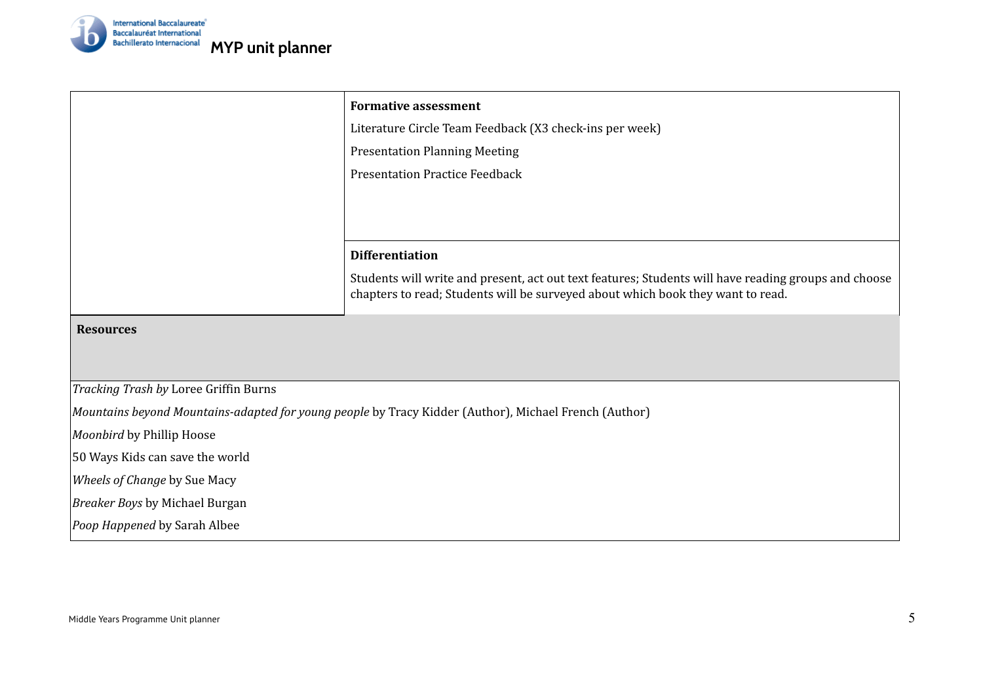

|                                       | <b>Formative assessment</b><br>Literature Circle Team Feedback (X3 check-ins per week)<br><b>Presentation Planning Meeting</b>                                                          |  |  |
|---------------------------------------|-----------------------------------------------------------------------------------------------------------------------------------------------------------------------------------------|--|--|
|                                       |                                                                                                                                                                                         |  |  |
|                                       |                                                                                                                                                                                         |  |  |
|                                       | <b>Presentation Practice Feedback</b>                                                                                                                                                   |  |  |
|                                       |                                                                                                                                                                                         |  |  |
|                                       |                                                                                                                                                                                         |  |  |
|                                       |                                                                                                                                                                                         |  |  |
|                                       | <b>Differentiation</b>                                                                                                                                                                  |  |  |
|                                       | Students will write and present, act out text features; Students will have reading groups and choose<br>chapters to read; Students will be surveyed about which book they want to read. |  |  |
| <b>Resources</b>                      |                                                                                                                                                                                         |  |  |
|                                       |                                                                                                                                                                                         |  |  |
| Tracking Trash by Loree Griffin Burns |                                                                                                                                                                                         |  |  |
|                                       | Mountains beyond Mountains-adapted for young people by Tracy Kidder (Author), Michael French (Author)                                                                                   |  |  |
| Moonbird by Phillip Hoose             |                                                                                                                                                                                         |  |  |
| 50 Ways Kids can save the world       |                                                                                                                                                                                         |  |  |
| Wheels of Change by Sue Macy          |                                                                                                                                                                                         |  |  |
| <b>Breaker Boys by Michael Burgan</b> |                                                                                                                                                                                         |  |  |
| Poop Happened by Sarah Albee          |                                                                                                                                                                                         |  |  |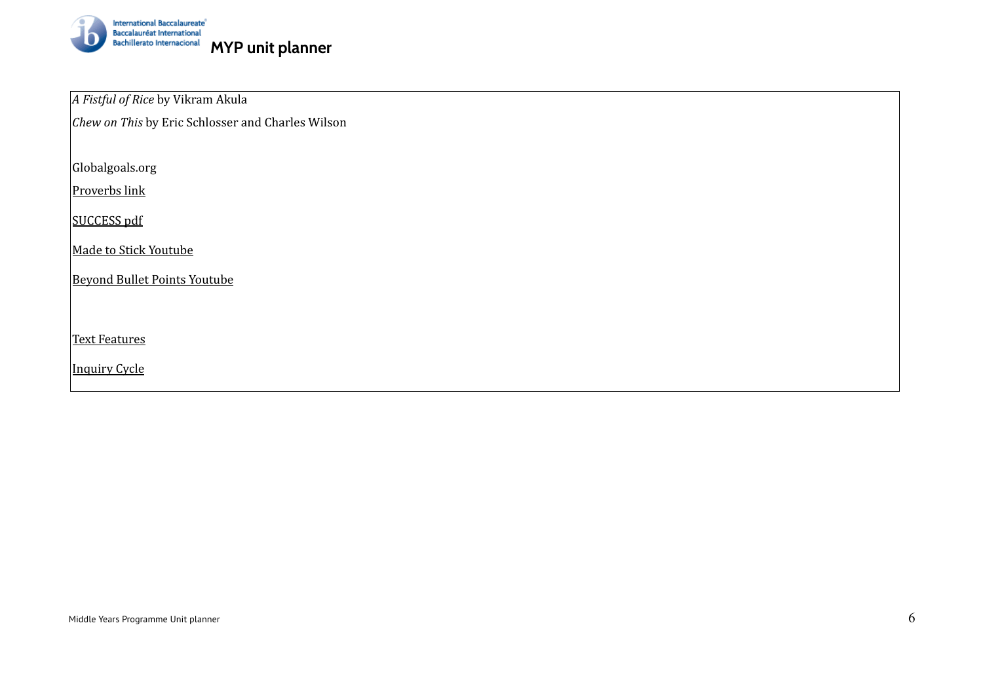

*A Fistful of Rice* by Vikram Akula

*Chew on This* by Eric Schlosser and Charles Wilson

Globalgoals.org

[Proverbs](http://www.phrasemix.com/collections/the-50-most-important-english-proverbs) link

[SUCCESS](http://heathbrothers.com/download/mts-made-to-stick-model.pdf) pdf

Made to Stick [Youtube](https://www.youtube.com/watch?v=E7U74c0Hzbk)

Beyond Bullet Points [Youtube](https://www.youtube.com/watch?v=uK8oqIJeyI4)

Text [Features](http://www.azed.gov/english-language-learners/files/2014/03/examples-of-text-features.pdf)

[Inquiry](https://atruenorthmsteacherblog.wordpress.com/2010/08/28/kath-murdochs-cycle-of-inquiry/) Cycle